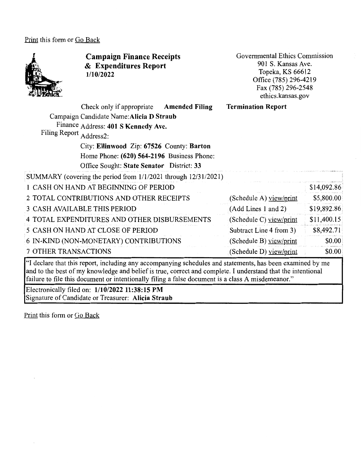Print this form or Go Back



7 OTHER TRANSACTIONS

"I declare that this report, including any accompanying schedules and statements, has been examined by me and to the best of my knowledge and belief is true, correct and complete. I understand that the intentional failure to file this document or intentionally filing a false document is a class A misdemeanor."

(Schedule D) view/print

\$14,092.86 \$5,800.00 \$19,892.86. \$11,400.15 \$8,492.71

> \$0.00 \$0.00

Electronically filed on: **1/10/2022 11 :38: 15 PM**  Signature of Candidate or Treasurer: **Alicia Straub** 

Print this form or Go Back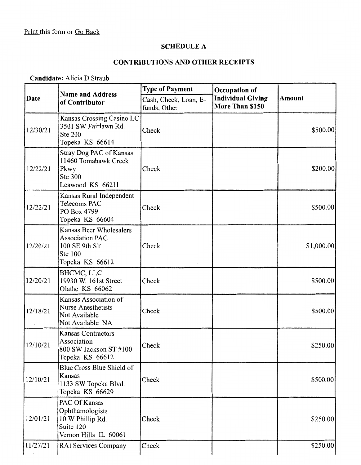$\sim$ 

## **SCHEDULE A**

# **CONTRIBUTIONS AND OTHER RECEIPTS**

**Candidate:** Alicia D Straub

| Date     | <b>Name and Address</b><br>of Contributor                                                                      | <b>Type of Payment</b>                | Occupation of<br><b>Individual Giving</b><br>More Than \$150 | <b>Amount</b> |
|----------|----------------------------------------------------------------------------------------------------------------|---------------------------------------|--------------------------------------------------------------|---------------|
|          |                                                                                                                | Cash, Check, Loan, E-<br>funds, Other |                                                              |               |
| 12/30/21 | Kansas Crossing Casino LC<br>3501 SW Fairlawn Rd.<br><b>Ste 200</b><br>Topeka KS 66614                         | Check                                 |                                                              | \$500.00      |
| 12/22/21 | Stray Dog PAC of Kansas<br>11460 Tomahawk Creek<br>Pkwy<br>Ste 300<br>Leawood KS 66211                         | Check                                 |                                                              | \$200.00      |
| 12/22/21 | Kansas Rural Independent<br>Telecoms PAC<br>PO Box 4799<br>Topeka KS 66604                                     | Check                                 |                                                              | \$500.00      |
| 12/20/21 | <b>Kansas Beer Wholesalers</b><br><b>Association PAC</b><br>100 SE 9th ST<br><b>Ste 100</b><br>Topeka KS 66612 | Check                                 |                                                              | \$1,000.00    |
| 12/20/21 | BHCMC, LLC<br>19930 W. 161st Street<br>Olathe KS 66062                                                         | Check                                 |                                                              | \$500.00      |
| 12/18/21 | Kansas Association of<br><b>Nurse Anesthetists</b><br>Not Available<br>Not Available NA                        | Check                                 |                                                              | \$500.00      |
| 12/10/21 | <b>Kansas Contractors</b><br>Association<br>800 SW Jackson ST #100<br>Topeka KS 66612                          | Check                                 |                                                              | \$250.00]     |
| 12/10/21 | Blue Cross Blue Shield of<br>Kansas<br>1133 SW Topeka Blvd.<br>Topeka KS 66629                                 | Check                                 |                                                              | \$500.00      |
| 12/01/21 | PAC Of Kansas<br>Ophthamologists<br>10 W Phillip Rd.<br>Suite 120<br>Vernon Hills IL 60061                     | Check                                 |                                                              | \$250.00      |
| 11/27/21 | <b>RAI Services Company</b>                                                                                    | Check                                 |                                                              | \$250.00      |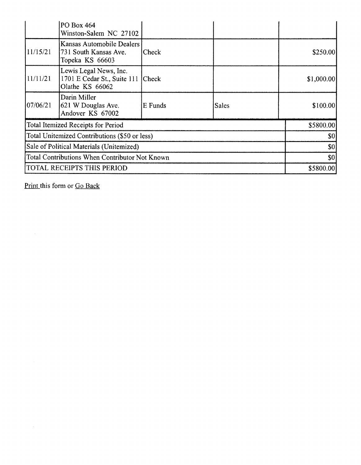|                                                | <b>PO Box 464</b><br>Winston-Salem NC 27102                                    |         |              |  |            |
|------------------------------------------------|--------------------------------------------------------------------------------|---------|--------------|--|------------|
| 11/15/21                                       | Kansas Automobile Dealers<br>731 South Kansas Ave.<br>Topeka KS 66603          | Check   |              |  | \$250.00   |
| 11/11/21                                       | Lewis Legal News, Inc.<br>1701 E Cedar St., Suite 111 Check<br>Olathe KS 66062 |         |              |  | \$1,000.00 |
| 107/06/21                                      | Darin Miller<br>621 W Douglas Ave.<br>Andover KS 67002                         | E Funds | <b>Sales</b> |  | \$100.00]  |
|                                                | Total Itemized Receipts for Period                                             |         |              |  | \$5800.00  |
| Total Unitemized Contributions (\$50 or less)  |                                                                                |         | \$0]         |  |            |
| Sale of Political Materials (Unitemized)       |                                                                                |         | \$0]         |  |            |
| Total Contributions When Contributor Not Known |                                                                                |         | \$0          |  |            |
| TOTAL RECEIPTS THIS PERIOD                     |                                                                                |         | \$5800.00    |  |            |

Print this form or Go Back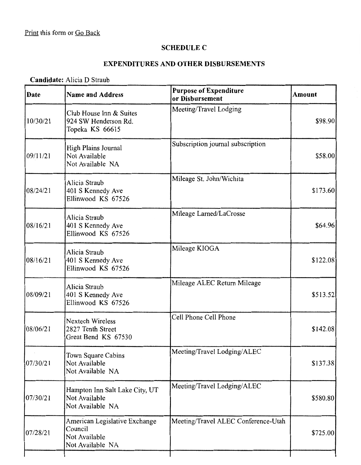## **SCHEDULE C**

#### **EXPENDITURES AND OTHER DISBURSEMENTS**

#### **Candidate:** Alicia D Straub

| Date     | <b>Name and Address</b>                                                       | <b>Purpose of Expenditure</b><br>or Disbursement | Amount   |
|----------|-------------------------------------------------------------------------------|--------------------------------------------------|----------|
| 10/30/21 | Club House Inn & Suites<br>924 SW Henderson Rd.<br>Topeka KS 66615            | Meeting/Travel Lodging                           | \$98.90  |
| 09/11/21 | High Plains Journal<br>Not Available<br>Not Available NA                      | Subscription journal subscription                | \$58.00  |
| 08/24/21 | Alicia Straub<br>401 S Kennedy Ave<br>Ellinwood KS 67526                      | Mileage St. John/Wichita                         | \$173.60 |
| 08/16/21 | Alicia Straub<br>401 S Kennedy Ave<br>Ellinwood KS 67526                      | Mileage Larned/LaCrosse                          | \$64.96  |
| 08/16/21 | Alicia Straub<br>401 S Kennedy Ave<br>Ellinwood KS 67526                      | Mileage KIOGA                                    | \$122.08 |
| 08/09/21 | Alicia Straub<br>401 S Kennedy Ave<br>Ellinwood KS 67526                      | Mileage ALEC Return Mileage                      | \$513.52 |
| 08/06/21 | <b>Nextech Wireless</b><br>2827 Tenth Street<br>Great Bend KS 67530           | Cell Phone Cell Phone                            | \$142.08 |
| 07/30/21 | Town Square Cabins<br>Not Available<br>Not Available NA                       | Meeting/Travel Lodging/ALEC                      | \$137.38 |
| 07/30/21 | Hampton Inn Salt Lake City, UT<br>Not Available<br>Not Available NA           | Meeting/Travel Lodging/ALEC                      | \$580.80 |
| 07/28/21 | American Legislative Exchange<br>Council<br>Not Available<br>Not Available NA | Meeting/Travel ALEC Conference-Utah              | \$725.00 |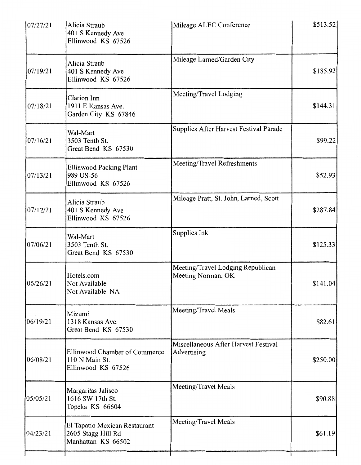| 107/27/21 | Alicia Straub<br>401 S Kennedy Ave<br>Ellinwood KS 67526                  | Mileage ALEC Conference                                 | \$513.52 |
|-----------|---------------------------------------------------------------------------|---------------------------------------------------------|----------|
| 07/19/21  | Alicia Straub<br>401 S Kennedy Ave<br>Ellinwood KS 67526                  | Mileage Larned/Garden City                              | \$185.92 |
| 07/18/21  | Clarion Inn<br>1911 E Kansas Ave.<br>Garden City KS 67846                 | Meeting/Travel Lodging                                  | \$144.31 |
| 07/16/21  | Wal-Mart<br>3503 Tenth St.<br>Great Bend KS 67530                         | Supplies After Harvest Festival Parade                  | \$99.22  |
| 07/13/21  | <b>Ellinwood Packing Plant</b><br>989 US-56<br>Ellinwood KS 67526         | Meeting/Travel Refreshments                             | \$52.93  |
| 07/12/21  | Alicia Straub<br>401 S Kennedy Ave<br>Ellinwood KS 67526                  | Mileage Pratt, St. John, Larned, Scott                  | \$287.84 |
| 07/06/21  | Wal-Mart<br>3503 Tenth St.<br>Great Bend KS 67530                         | Supplies Ink                                            | \$125.33 |
| 06/26/21  | Hotels.com<br>Not Available<br>Not Available NA                           | Meeting/Travel Lodging Republican<br>Meeting Norman, OK | \$141.04 |
| 06/19/21  | Mizumi<br>1318 Kansas Ave.<br>Great Bend KS 67530                         | Meeting/Travel Meals                                    | \$82.61  |
| 06/08/21  | Ellinwood Chamber of Commerce<br>110 N Main St.<br>Ellinwood KS 67526     | Miscellaneous After Harvest Festival<br>Advertising     | \$250.00 |
| 05/05/21  | Margaritas Jalisco<br>1616 SW 17th St.<br>Topeka KS 66604                 | Meeting/Travel Meals                                    | \$90.88  |
| 04/23/21  | El Tapatio Mexican Restaurant<br>2605 Stagg Hill Rd<br>Manhattan KS 66502 | Meeting/Travel Meals                                    | \$61.19  |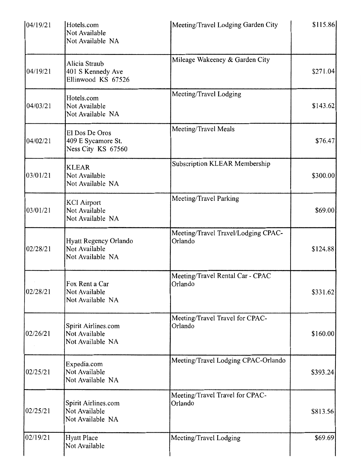| 104/19/21 | Hotels.com<br>Not Available<br>Not Available NA            | Meeting/Travel Lodging Garden City             | \$115.86 |
|-----------|------------------------------------------------------------|------------------------------------------------|----------|
| 04/19/21  | Alicia Straub<br>401 S Kennedy Ave<br>Ellinwood KS 67526   | Mileage Wakeeney & Garden City                 | \$271.04 |
| 04/03/21  | Hotels.com<br>Not Available<br>Not Available NA            | Meeting/Travel Lodging                         | \$143.62 |
| 04/02/21  | El Dos De Oros<br>409 E Sycamore St.<br>Ness City KS 67560 | Meeting/Travel Meals                           | \$76.47  |
| 03/01/21  | <b>KLEAR</b><br>Not Available<br>Not Available NA          | Subscription KLEAR Membership                  | \$300.00 |
| 03/01/21  | <b>KCI</b> Airport<br>Not Available<br>Not Available NA    | Meeting/Travel Parking                         | \$69.00  |
| 02/28/21  | Hyatt Regency Orlando<br>Not Available<br>Not Available NA | Meeting/Travel Travel/Lodging CPAC-<br>Orlando | \$124.88 |
| 02/28/21  | Fox Rent a Car<br>Not Available<br>Not Available NA        | Meeting/Travel Rental Car - CPAC<br>Orlando    | \$331.62 |
| 02/26/21  | Spirit Airlines.com<br>Not Available<br>Not Available NA   | Meeting/Travel Travel for CPAC-<br>Orlando     | \$160.00 |
| 02/25/21  | Expedia.com<br>Not Available<br>Not Available NA           | Meeting/Travel Lodging CPAC-Orlando            | \$393.24 |
| 02/25/21  | Spirit Airlines.com<br>Not Available<br>Not Available NA   | Meeting/Travel Travel for CPAC-<br>Orlando     | \$813.56 |
| 02/19/21  | <b>Hyatt Place</b><br>Not Available                        | Meeting/Travel Lodging                         | \$69.69  |